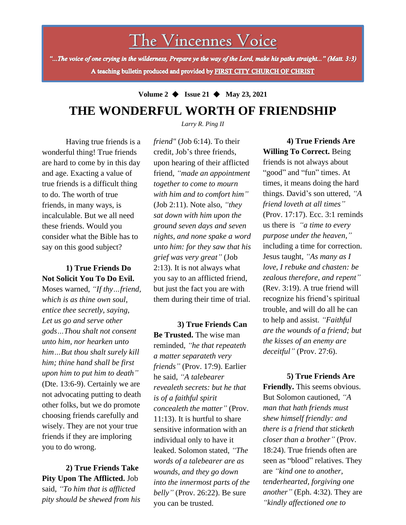The Vincennes Voice

"...The voice of one crying in the wilderness, Prepare ye the way of the Lord, make his paths straight..." (Matt. 3:3) A teaching bulletin produced and provided by FIRST CITY CHURCH OF CHRIST

# **Volume 2** ◆ **Issue 21** ◆ **May 23, 2021 THE WONDERFUL WORTH OF FRIENDSHIP**

*Larry R. Ping II*

Having true friends is a wonderful thing! True friends are hard to come by in this day and age. Exacting a value of true friends is a difficult thing to do. The worth of true friends, in many ways, is incalculable. But we all need these friends. Would you consider what the Bible has to say on this good subject?

## **1) True Friends Do Not Solicit You To Do Evil.**

Moses warned, *"If thy…friend, which is as thine own soul, entice thee secretly, saying, Let us go and serve other gods…Thou shalt not consent unto him, nor hearken unto him…But thou shalt surely kill him; thine hand shall be first upon him to put him to death"* (Dte. 13:6-9). Certainly we are not advocating putting to death other folks, but we do promote choosing friends carefully and wisely. They are not your true friends if they are imploring you to do wrong.

**2) True Friends Take Pity Upon The Afflicted.** Job said, *"To him that is afflicted pity should be shewed from his* *friend"* (Job 6:14). To their credit, Job's three friends, upon hearing of their afflicted friend, *"made an appointment together to come to mourn with him and to comfort him"* (Job 2:11). Note also, *"they sat down with him upon the ground seven days and seven nights, and none spake a word unto him: for they saw that his grief was very great"* (Job 2:13). It is not always what you say to an afflicted friend, but just the fact you are with them during their time of trial.

**3) True Friends Can Be Trusted.** The wise man reminded, *"he that repeateth a matter separateth very friends"* (Prov. 17:9). Earlier he said, *"A talebearer revealeth secrets: but he that is of a faithful spirit concealeth the matter"* (Prov. 11:13). It is hurtful to share sensitive information with an individual only to have it leaked. Solomon stated, *"The words of a talebearer are as wounds, and they go down into the innermost parts of the belly"* (Prov. 26:22). Be sure you can be trusted.

**4) True Friends Are Willing To Correct.** Being friends is not always about "good" and "fun" times. At times, it means doing the hard things. David's son uttered, *"A friend loveth at all times"* (Prov. 17:17). Ecc. 3:1 reminds us there is *"a time to every purpose under the heaven,"* including a time for correction. Jesus taught, *"As many as I love, I rebuke and chasten: be zealous therefore, and repent"* (Rev. 3:19). A true friend will recognize his friend's spiritual trouble, and will do all he can to help and assist. *"Faithful are the wounds of a friend; but the kisses of an enemy are deceitful"* (Prov. 27:6).

**5) True Friends Are Friendly.** This seems obvious. But Solomon cautioned, *"A man that hath friends must shew himself friendly: and there is a friend that sticketh closer than a brother"* (Prov. 18:24). True friends often are seen as "blood" relatives. They are *"kind one to another, tenderhearted, forgiving one another"* (Eph. 4:32). They are *"kindly affectioned one to*